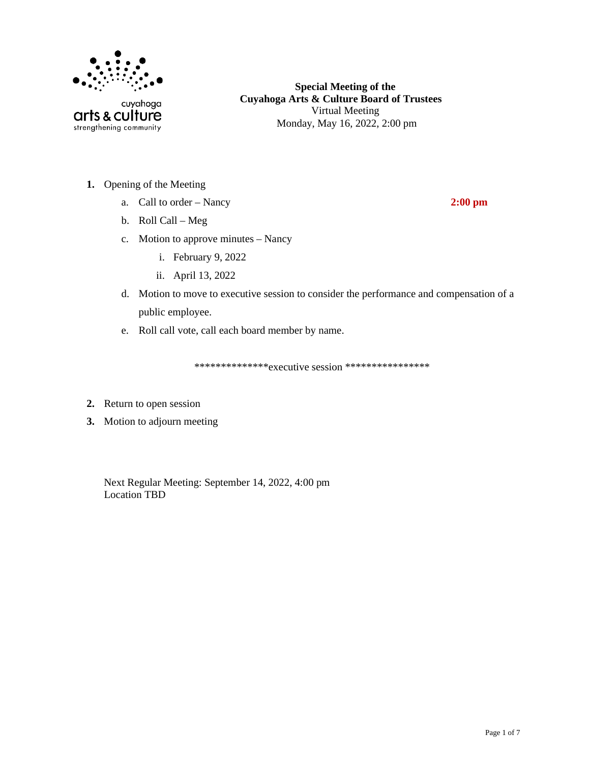

- **1.** Opening of the Meeting
	- a. Call to order Nancy **2:00 pm**
	- b. Roll Call Meg
	- c. Motion to approve minutes Nancy
		- i. February 9, 2022
		- ii. April 13, 2022
	- d. Motion to move to executive session to consider the performance and compensation of a public employee.
	- e. Roll call vote, call each board member by name.

\*\*\*\*\*\*\*\*\*\*\*\*\*\*\*executive session \*\*\*\*\*\*\*\*\*\*\*\*\*\*\*\*\*

- **2.** Return to open session
- **3.** Motion to adjourn meeting

Next Regular Meeting: September 14, 2022, 4:00 pm Location TBD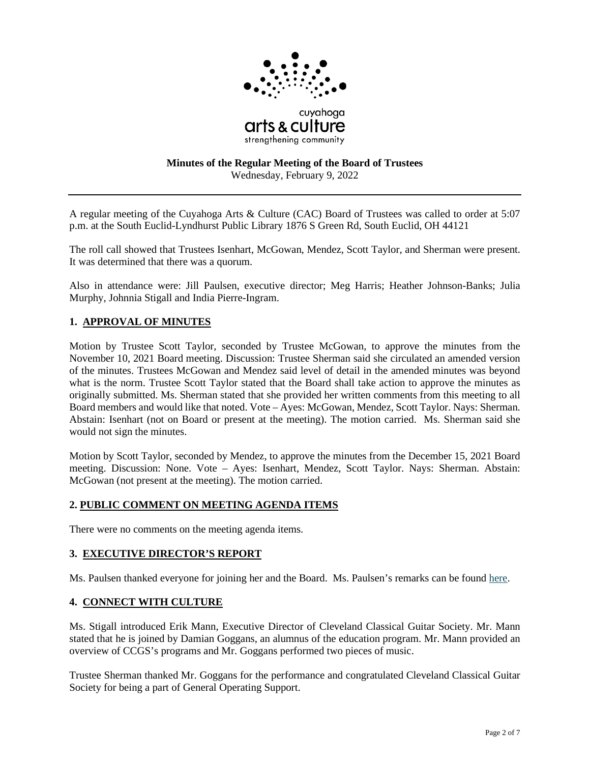

# **Minutes of the Regular Meeting of the Board of Trustees**

Wednesday, February 9, 2022

A regular meeting of the Cuyahoga Arts & Culture (CAC) Board of Trustees was called to order at 5:07 p.m. at the South Euclid-Lyndhurst Public Library 1876 S Green Rd, South Euclid, OH 44121

The roll call showed that Trustees Isenhart, McGowan, Mendez, Scott Taylor, and Sherman were present. It was determined that there was a quorum.

Also in attendance were: Jill Paulsen, executive director; Meg Harris; Heather Johnson-Banks; Julia Murphy, Johnnia Stigall and India Pierre-Ingram.

# **1. APPROVAL OF MINUTES**

Motion by Trustee Scott Taylor, seconded by Trustee McGowan, to approve the minutes from the November 10, 2021 Board meeting. Discussion: Trustee Sherman said she circulated an amended version of the minutes. Trustees McGowan and Mendez said level of detail in the amended minutes was beyond what is the norm. Trustee Scott Taylor stated that the Board shall take action to approve the minutes as originally submitted. Ms. Sherman stated that she provided her written comments from this meeting to all Board members and would like that noted. Vote – Ayes: McGowan, Mendez, Scott Taylor. Nays: Sherman. Abstain: Isenhart (not on Board or present at the meeting). The motion carried. Ms. Sherman said she would not sign the minutes.

Motion by Scott Taylor, seconded by Mendez, to approve the minutes from the December 15, 2021 Board meeting. Discussion: None. Vote – Ayes: Isenhart, Mendez, Scott Taylor. Nays: Sherman. Abstain: McGowan (not present at the meeting). The motion carried.

# **2. PUBLIC COMMENT ON MEETING AGENDA ITEMS**

There were no comments on the meeting agenda items.

# **3. EXECUTIVE DIRECTOR'S REPORT**

Ms. Paulsen thanked everyone for joining her and the Board. Ms. Paulsen's remarks can be found [here.](https://www.cacgrants.org/assets/ce/Documents/2022/Feb_ED_Report.pdf)

# **4. CONNECT WITH CULTURE**

Ms. Stigall introduced Erik Mann, Executive Director of Cleveland Classical Guitar Society. Mr. Mann stated that he is joined by Damian Goggans, an alumnus of the education program. Mr. Mann provided an overview of CCGS's programs and Mr. Goggans performed two pieces of music.

Trustee Sherman thanked Mr. Goggans for the performance and congratulated Cleveland Classical Guitar Society for being a part of General Operating Support.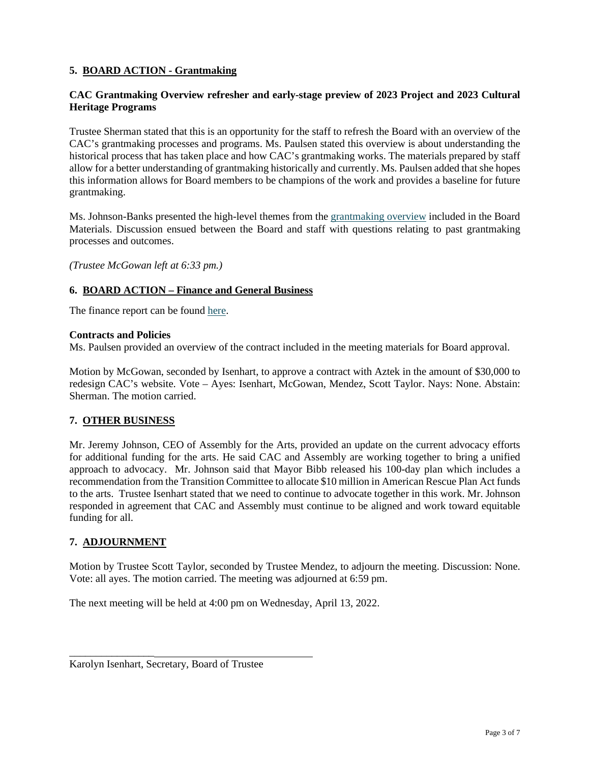# **5. BOARD ACTION - Grantmaking**

# **CAC Grantmaking Overview refresher and early-stage preview of 2023 Project and 2023 Cultural Heritage Programs**

Trustee Sherman stated that this is an opportunity for the staff to refresh the Board with an overview of the CAC's grantmaking processes and programs. Ms. Paulsen stated this overview is about understanding the historical process that has taken place and how CAC's grantmaking works. The materials prepared by staff allow for a better understanding of grantmaking historically and currently. Ms. Paulsen added that she hopes this information allows for Board members to be champions of the work and provides a baseline for future grantmaking.

Ms. Johnson-Banks presented the high-level themes from the [grantmaking overview](https://www.cacgrants.org/assets/ce/Documents/2022/CAC_Grantmaking_Overview.pdf) included in the Board Materials. Discussion ensued between the Board and staff with questions relating to past grantmaking processes and outcomes.

*(Trustee McGowan left at 6:33 pm.)* 

# **6. BOARD ACTION – Finance and General Business**

The finance report can be found [here.](https://www.cacgrants.org/assets/ce/Documents/2022/Jan22-Dec21-Financials.pdf)

#### **Contracts and Policies**

Ms. Paulsen provided an overview of the contract included in the meeting materials for Board approval.

Motion by McGowan, seconded by Isenhart, to approve a contract with Aztek in the amount of \$30,000 to redesign CAC's website. Vote – Ayes: Isenhart, McGowan, Mendez, Scott Taylor. Nays: None. Abstain: Sherman. The motion carried.

# **7. OTHER BUSINESS**

Mr. Jeremy Johnson, CEO of Assembly for the Arts, provided an update on the current advocacy efforts for additional funding for the arts. He said CAC and Assembly are working together to bring a unified approach to advocacy. Mr. Johnson said that Mayor Bibb released his 100-day plan which includes a recommendation from the Transition Committee to allocate \$10 million in American Rescue Plan Act funds to the arts. Trustee Isenhart stated that we need to continue to advocate together in this work. Mr. Johnson responded in agreement that CAC and Assembly must continue to be aligned and work toward equitable funding for all.

# **7. ADJOURNMENT**

\_\_\_\_\_\_\_\_\_\_\_\_\_\_\_\_

Motion by Trustee Scott Taylor, seconded by Trustee Mendez, to adjourn the meeting. Discussion: None. Vote: all ayes. The motion carried. The meeting was adjourned at 6:59 pm.

The next meeting will be held at 4:00 pm on Wednesday, April 13, 2022.

Karolyn Isenhart, Secretary, Board of Trustee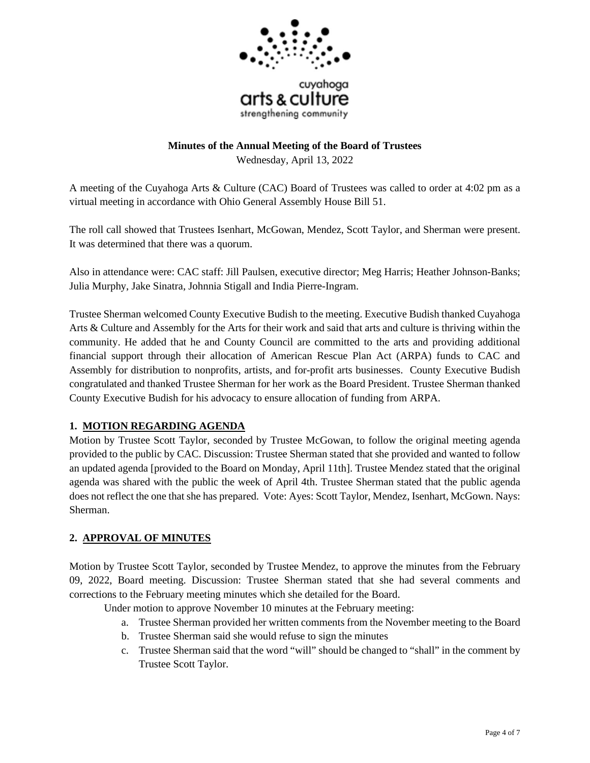

strengthening community

# **Minutes of the Annual Meeting of the Board of Trustees**

Wednesday, April 13, 2022

A meeting of the Cuyahoga Arts & Culture (CAC) Board of Trustees was called to order at 4:02 pm as a virtual meeting in accordance with Ohio General Assembly House Bill 51.

The roll call showed that Trustees Isenhart, McGowan, Mendez, Scott Taylor, and Sherman were present. It was determined that there was a quorum.

Also in attendance were: CAC staff: Jill Paulsen, executive director; Meg Harris; Heather Johnson-Banks; Julia Murphy, Jake Sinatra, Johnnia Stigall and India Pierre-Ingram.

Trustee Sherman welcomed County Executive Budish to the meeting. Executive Budish thanked Cuyahoga Arts & Culture and Assembly for the Arts for their work and said that arts and culture is thriving within the community. He added that he and County Council are committed to the arts and providing additional financial support through their allocation of American Rescue Plan Act (ARPA) funds to CAC and Assembly for distribution to nonprofits, artists, and for-profit arts businesses. County Executive Budish congratulated and thanked Trustee Sherman for her work as the Board President. Trustee Sherman thanked County Executive Budish for his advocacy to ensure allocation of funding from ARPA.

# **1. MOTION REGARDING AGENDA**

Motion by Trustee Scott Taylor, seconded by Trustee McGowan, to follow the original meeting agenda provided to the public by CAC. Discussion: Trustee Sherman stated that she provided and wanted to follow an updated agenda [provided to the Board on Monday, April 11th]. Trustee Mendez stated that the original agenda was shared with the public the week of April 4th. Trustee Sherman stated that the public agenda does not reflect the one that she has prepared. Vote: Ayes: Scott Taylor, Mendez, Isenhart, McGown. Nays: Sherman.

# **2. APPROVAL OF MINUTES**

Motion by Trustee Scott Taylor, seconded by Trustee Mendez, to approve the minutes from the February 09, 2022, Board meeting. Discussion: Trustee Sherman stated that she had several comments and corrections to the February meeting minutes which she detailed for the Board.

Under motion to approve November 10 minutes at the February meeting:

- a. Trustee Sherman provided her written comments from the November meeting to the Board
- b. Trustee Sherman said she would refuse to sign the minutes
- c. Trustee Sherman said that the word "will" should be changed to "shall" in the comment by Trustee Scott Taylor.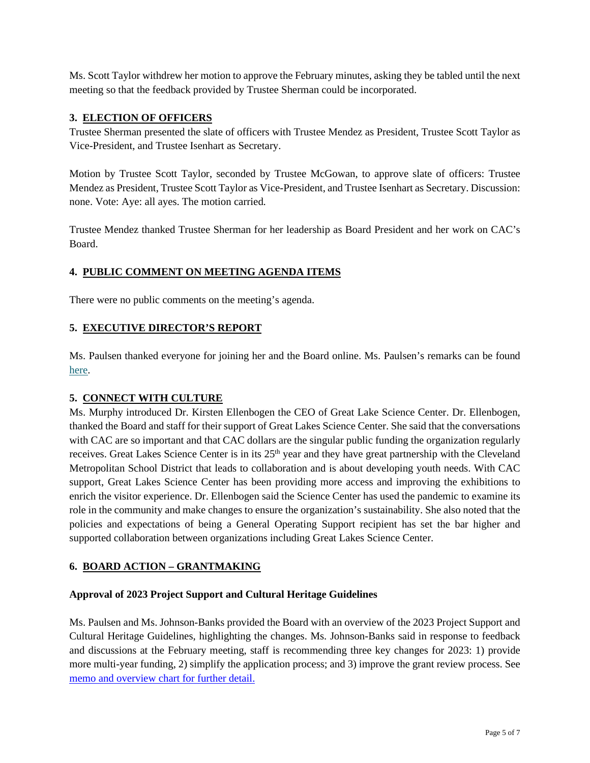Ms. Scott Taylor withdrew her motion to approve the February minutes, asking they be tabled until the next meeting so that the feedback provided by Trustee Sherman could be incorporated.

# **3. ELECTION OF OFFICERS**

Trustee Sherman presented the slate of officers with Trustee Mendez as President, Trustee Scott Taylor as Vice-President, and Trustee Isenhart as Secretary.

Motion by Trustee Scott Taylor, seconded by Trustee McGowan, to approve slate of officers: Trustee Mendez as President, Trustee Scott Taylor as Vice-President, and Trustee Isenhart as Secretary. Discussion: none. Vote: Aye: all ayes. The motion carried.

Trustee Mendez thanked Trustee Sherman for her leadership as Board President and her work on CAC's Board.

# **4. PUBLIC COMMENT ON MEETING AGENDA ITEMS**

There were no public comments on the meeting's agenda.

# **5. EXECUTIVE DIRECTOR'S REPORT**

Ms. Paulsen thanked everyone for joining her and the Board online. Ms. Paulsen's remarks can be foun[d](https://www.cacgrants.org/assets/ce/Documents/2020/2020-04-15-ED-Report.pdf) [here.](https://www.cacgrants.org/assets/ce/Documents/2020/2020-04-15-ED-Report.pdf)

# **5. CONNECT WITH CULTURE**

Ms. Murphy introduced Dr. Kirsten Ellenbogen the CEO of Great Lake Science Center. Dr. Ellenbogen, thanked the Board and staff for their support of Great Lakes Science Center. She said that the conversations with CAC are so important and that CAC dollars are the singular public funding the organization regularly receives. Great Lakes Science Center is in its 25<sup>th</sup> year and they have great partnership with the Cleveland Metropolitan School District that leads to collaboration and is about developing youth needs. With CAC support, Great Lakes Science Center has been providing more access and improving the exhibitions to enrich the visitor experience. Dr. Ellenbogen said the Science Center has used the pandemic to examine its role in the community and make changes to ensure the organization's sustainability. She also noted that the policies and expectations of being a General Operating Support recipient has set the bar higher and supported collaboration between organizations including Great Lakes Science Center.

# **6. BOARD ACTION – GRANTMAKING**

# **Approval of 2023 Project Support and Cultural Heritage Guidelines**

Ms. Paulsen and Ms. Johnson-Banks provided the Board with an overview of the 2023 Project Support and Cultural Heritage Guidelines, highlighting the changes. Ms. Johnson-Banks said in response to feedback and discussions at the February meeting, staff is recommending three key changes for 2023: 1) provide more multi-year funding, 2) simplify the application process; and 3) improve the grant review process. See [memo and overview chart for further detail.](https://www.cacgrants.org/assets/ce/Documents/2022/2022-04-13-Board-Meeting-Materials-Public.pdf#page=13)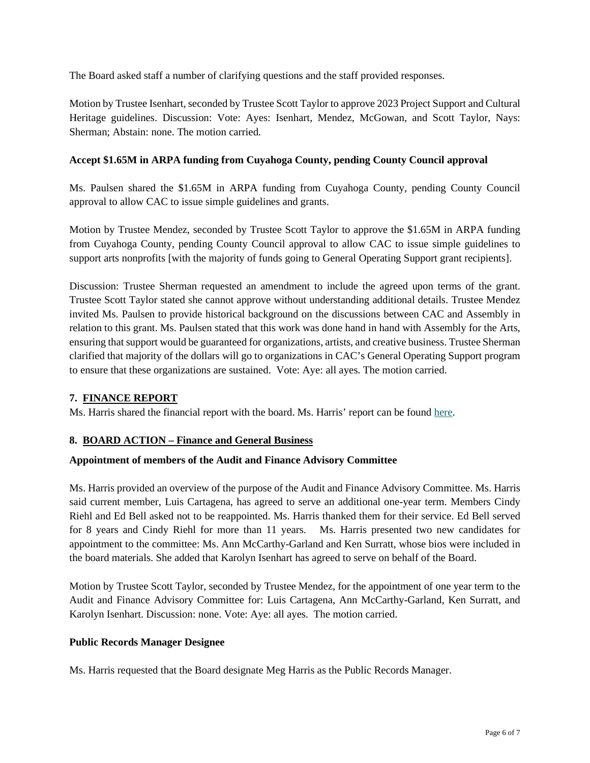The Board asked staff a number of clarifying questions and the staff provided responses.

Motion by Trustee Isenhart, seconded by Trustee Scott Taylor to approve 2023 Project Support and Cultural Heritage guidelines. Discussion: Vote: Ayes: Isenhart, Mendez, McGowan, and Scott Taylor, Nays: Sherman; Abstain: none. The motion carried.

# **Accept \$1.65M in ARPA funding from Cuyahoga County, pending County Council approval**

Ms. Paulsen shared the \$1.65M in ARPA funding from Cuyahoga County, pending County Council approval to allow CAC to issue simple guidelines and grants.

Motion by Trustee Mendez, seconded by Trustee Scott Taylor to approve the \$1.65M in ARPA funding from Cuyahoga County, pending County Council approval to allow CAC to issue simple guidelines to support arts nonprofits [with the majority of funds going to General Operating Support grant recipients].

Discussion: Trustee Sherman requested an amendment to include the agreed upon terms of the grant. Trustee Scott Taylor stated she cannot approve without understanding additional details. Trustee Mendez invited Ms. Paulsen to provide historical background on the discussions between CAC and Assembly in relation to this grant. Ms. Paulsen stated that this work was done hand in hand with Assembly for the Arts, ensuring that support would be guaranteed for organizations, artists, and creative business. Trustee Sherman clarified that majority of the dollars will go to organizations in CAC's General Operating Support program to ensure that these organizations are sustained. Vote: Aye: all ayes. The motion carried.

# **7. FINANCE REPORT**

Ms. Harris shared the financial report with the board. Ms. Harris' report can be found [here.](https://www.cacgrants.org/assets/ce/Documents/2020/2020-04-15-Financials.pdf)

# **8. BOARD ACTION – Finance and General Business**

# **Appointment of members of the Audit and Finance Advisory Committee**

Ms. Harris provided an overview of the purpose of the Audit and Finance Advisory Committee. Ms. Harris said current member, Luis Cartagena, has agreed to serve an additional one-year term. Members Cindy Riehl and Ed Bell asked not to be reappointed. Ms. Harris thanked them for their service. Ed Bell served for 8 years and Cindy Riehl for more than 11 years. Ms. Harris presented two new candidates for appointment to the committee: Ms. Ann McCarthy-Garland and Ken Surratt, whose bios were included in the board materials. She added that Karolyn Isenhart has agreed to serve on behalf of the Board.

Motion by Trustee Scott Taylor, seconded by Trustee Mendez, for the appointment of one year term to the Audit and Finance Advisory Committee for: Luis Cartagena, Ann McCarthy-Garland, Ken Surratt, and Karolyn Isenhart. Discussion: none. Vote: Aye: all ayes. The motion carried.

# **Public Records Manager Designee**

Ms. Harris requested that the Board designate Meg Harris as the Public Records Manager.